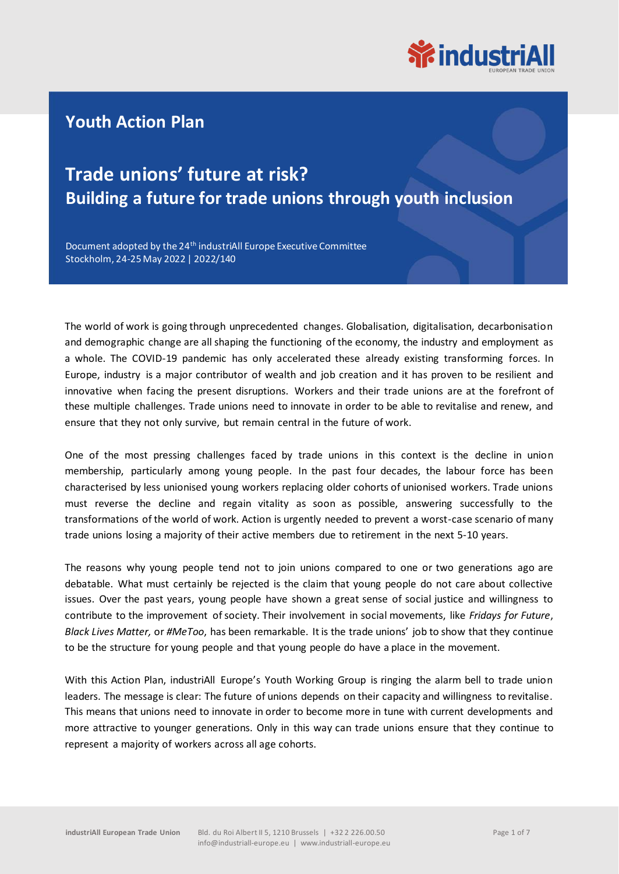

### **Youth Action Plan**

## **Trade unions' future at risk? Building a future for trade unions through youth inclusion**

Document adopted by the 24<sup>th</sup> industriAll Europe Executive Committee Stockholm, 24-25 May 2022 | 2022/140

The world of work is going through unprecedented changes. Globalisation, digitalisation, decarbonisation and demographic change are all shaping the functioning of the economy, the industry and employment as a whole. The COVID-19 pandemic has only accelerated these already existing transforming forces. In Europe, industry is a major contributor of wealth and job creation and it has proven to be resilient and innovative when facing the present disruptions. Workers and their trade unions are at the forefront of these multiple challenges. Trade unions need to innovate in order to be able to revitalise and renew, and ensure that they not only survive, but remain central in the future of work.

One of the most pressing challenges faced by trade unions in this context is the decline in union membership, particularly among young people. In the past four decades, the labour force has been characterised by less unionised young workers replacing older cohorts of unionised workers. Trade unions must reverse the decline and regain vitality as soon as possible, answering successfully to the transformations of the world of work. Action is urgently needed to prevent a worst-case scenario of many trade unions losing a majority of their active members due to retirement in the next 5-10 years.

The reasons why young people tend not to join unions compared to one or two generations ago are debatable. What must certainly be rejected is the claim that young people do not care about collective issues. Over the past years, young people have shown a great sense of social justice and willingness to contribute to the improvement of society. Their involvement in social movements, like *Fridays for Future*, *Black Lives Matter,* or *#MeToo*, has been remarkable. It is the trade unions' job to show that they continue to be the structure for young people and that young people do have a place in the movement.

With this Action Plan, industriAll Europe's Youth Working Group is ringing the alarm bell to trade union leaders. The message is clear: The future of unions depends on their capacity and willingness to revitalise. This means that unions need to innovate in order to become more in tune with current developments and more attractive to younger generations. Only in this way can trade unions ensure that they continue to represent a majority of workers across all age cohorts.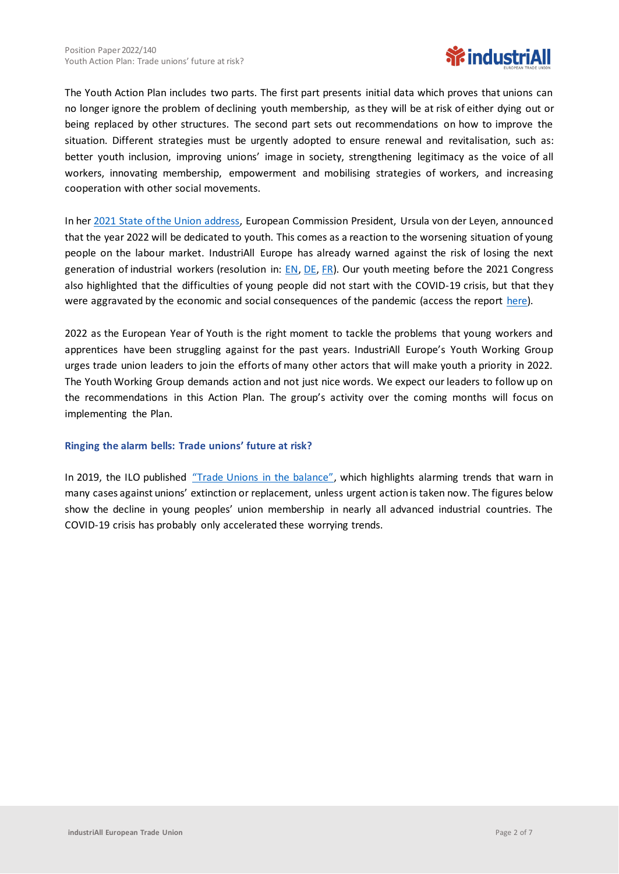

The Youth Action Plan includes two parts. The first part presents initial data which proves that unions can no longer ignore the problem of declining youth membership, as they will be at risk of either dying out or being replaced by other structures. The second part sets out recommendations on how to improve the situation. Different strategies must be urgently adopted to ensure renewal and revitalisation, such as: better youth inclusion, improving unions' image in society, strengthening legitimacy as the voice of all workers, innovating membership, empowerment and mobilising strategies of workers, and increasing cooperation with other social movements.

In her [2021 State of the Union address,](https://ec.europa.eu/commission/presscorner/detail/en/SPEECH_21_4701) European Commission President, Ursula von der Leyen, announced that the year 2022 will be dedicated to youth. This comes as a reaction to the worsening situation of young people on the labour market. IndustriAll Europe has already warned against the risk of losing the next generation of industrial workers (resolution in:  $EN$ , [DE,](https://news.industriall-europe.eu/content/documents/upload/2020/11/637418362129554467_DE%20-%20Youth%20-%20Warning%20against%20the%20risk%20of%20losing%20the%20next%20generation%20of%20industrial%20workers.pdf) [FR\)](https://news.industriall-europe.eu/content/documents/upload/2020/11/637418365751578302_FR%20-%20Youth%20-%20Warning%20against%20the%20risk%20of%20losing%20the%20next%20generation%20of%20industrial%20workers.pdf). Our youth meeting before the 2021 Congress also highlighted that the difficulties of young people did not start with the COVID-19 crisis, but that they were aggravated by the economic and social consequences of the pandemic (access the report [here\)](https://news.industriall-europe.eu/Article/619).

2022 as the European Year of Youth is the right moment to tackle the problems that young workers and apprentices have been struggling against for the past years. IndustriAll Europe's Youth Working Group urges trade union leaders to join the efforts of many other actors that will make youth a priority in 2022. The Youth Working Group demands action and not just nice words. We expect our leaders to follow up on the recommendations in this Action Plan. The group's activity over the coming months will focus on implementing the Plan.

### **Ringing the alarm bells: Trade unions' future at risk?**

In 2019, the ILO published ["Trade Unions in the balance"](https://www.ilo.org/wcmsp5/groups/public/---ed_dialogue/---actrav/documents/publication/wcms_722482.pdf), which highlights alarming trends that warn in many cases against unions' extinction or replacement, unless urgent action is taken now. The figures below show the decline in young peoples' union membership in nearly all advanced industrial countries. The COVID-19 crisis has probably only accelerated these worrying trends.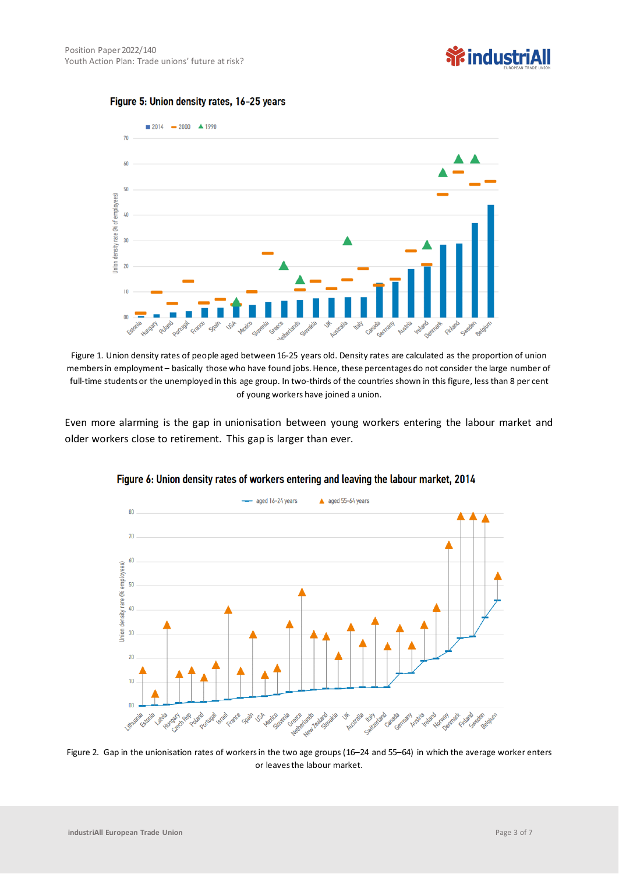# **养industriAll**





Figure 1. Union density rates of people aged between 16-25 years old. Density rates are calculated as the proportion of union members in employment – basically those who have found jobs. Hence, these percentages do not consider the large number of full-time students or the unemployed in this age group. In two-thirds of the countries shown in this figure, less than 8 per cent of young workers have joined a union.

Even more alarming is the gap in unionisation between young workers entering the labour market and older workers close to retirement. This gap is larger than ever.



Figure 6: Union density rates of workers entering and leaving the labour market, 2014

Figure 2. Gap in the unionisation rates of workers in the two age groups (16–24 and 55–64) in which the average worker enters or leaves the labour market.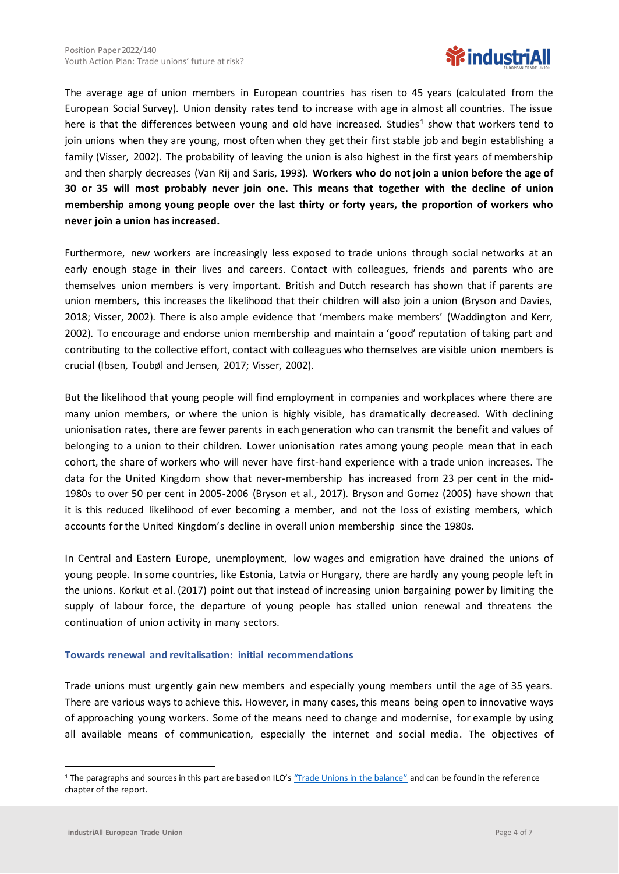

The average age of union members in European countries has risen to 45 years (calculated from the European Social Survey). Union density rates tend to increase with age in almost all countries. The issue here is that the differences between young and old have increased. Studies<sup>1</sup> show that workers tend to join unions when they are young, most often when they get their first stable job and begin establishing a family (Visser, 2002). The probability of leaving the union is also highest in the first years of membership and then sharply decreases (Van Rij and Saris, 1993). **Workers who do not join a union before the age of 30 or 35 will most probably never join one. This means that together with the decline of union membership among young people over the last thirty or forty years, the proportion of workers who never join a union has increased.**

Furthermore, new workers are increasingly less exposed to trade unions through social networks at an early enough stage in their lives and careers. Contact with colleagues, friends and parents who are themselves union members is very important. British and Dutch research has shown that if parents are union members, this increases the likelihood that their children will also join a union (Bryson and Davies, 2018; Visser, 2002). There is also ample evidence that 'members make members' (Waddington and Kerr, 2002). To encourage and endorse union membership and maintain a 'good' reputation of taking part and contributing to the collective effort, contact with colleagues who themselves are visible union members is crucial (Ibsen, Toubøl and Jensen, 2017; Visser, 2002).

But the likelihood that young people will find employment in companies and workplaces where there are many union members, or where the union is highly visible, has dramatically decreased. With declining unionisation rates, there are fewer parents in each generation who can transmit the benefit and values of belonging to a union to their children. Lower unionisation rates among young people mean that in each cohort, the share of workers who will never have first-hand experience with a trade union increases. The data for the United Kingdom show that never-membership has increased from 23 per cent in the mid-1980s to over 50 per cent in 2005-2006 (Bryson et al., 2017). Bryson and Gomez (2005) have shown that it is this reduced likelihood of ever becoming a member, and not the loss of existing members, which accounts for the United Kingdom's decline in overall union membership since the 1980s.

In Central and Eastern Europe, unemployment, low wages and emigration have drained the unions of young people. In some countries, like Estonia, Latvia or Hungary, there are hardly any young people left in the unions. Korkut et al. (2017) point out that instead of increasing union bargaining power by limiting the supply of labour force, the departure of young people has stalled union renewal and threatens the continuation of union activity in many sectors.

### **Towards renewal and revitalisation: initial recommendations**

Trade unions must urgently gain new members and especially young members until the age of 35 years. There are various ways to achieve this. However, in many cases, this means being open to innovative ways of approaching young workers. Some of the means need to change and modernise, for example by using all available means of communication, especially the internet and social media. The objectives of

<sup>&</sup>lt;sup>1</sup> The paragraphs and sources in this part are based on ILO'[s "Trade Unions in the balance"](https://www.ilo.org/wcmsp5/groups/public/---ed_dialogue/---actrav/documents/publication/wcms_722482.pdf) and can be found in the reference chapter of the report.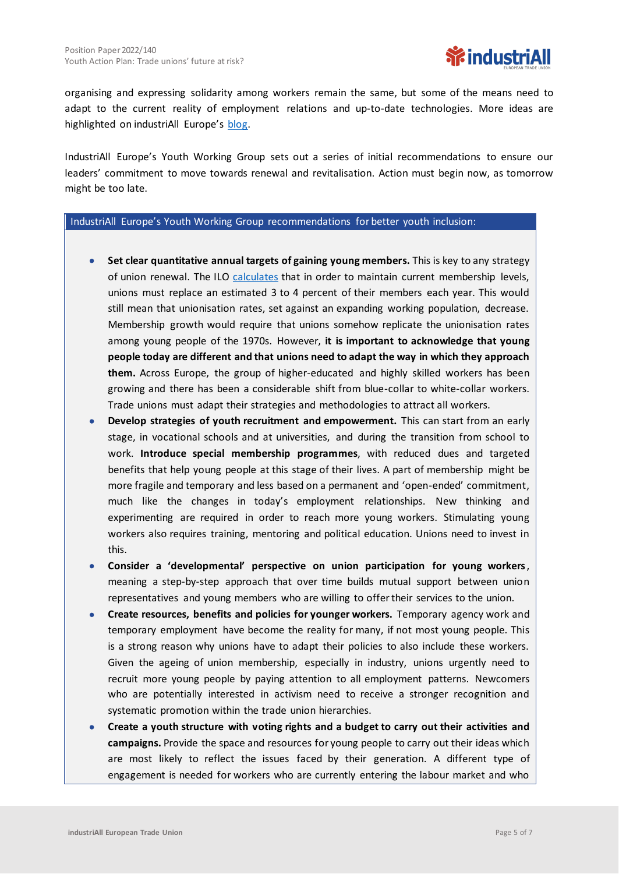

organising and expressing solidarity among workers remain the same, but some of the means need to adapt to the current reality of employment relations and up-to-date technologies. More ideas are highlighted on industriAll Europe's [blog.](https://news.industriall-europe.eu/content/documents/upload/2021/1/637454455840625342_637438243993996968_Blog%201%20Newcomers.pdf)

IndustriAll Europe's Youth Working Group sets out a series of initial recommendations to ensure our leaders' commitment to move towards renewal and revitalisation. Action must begin now, as tomorrow might be too late.

#### IndustriAll Europe's Youth Working Group recommendations for better youth inclusion:

- **Set clear quantitative annual targets of gaining young members.** This is key to any strategy of union renewal. The ILO [calculates](https://www.ilo.org/wcmsp5/groups/public/---ed_dialogue/---actrav/documents/publication/wcms_722482.pdf) that in order to maintain current membership levels, unions must replace an estimated 3 to 4 percent of their members each year. This would still mean that unionisation rates, set against an expanding working population, decrease. Membership growth would require that unions somehow replicate the unionisation rates among young people of the 1970s. However, **it is important to acknowledge that young people today are different and that unions need to adapt the way in which they approach them.** Across Europe, the group of higher-educated and highly skilled workers has been growing and there has been a considerable shift from blue-collar to white-collar workers. Trade unions must adapt their strategies and methodologies to attract all workers.
- **Develop strategies of youth recruitment and empowerment.** This can start from an early stage, in vocational schools and at universities, and during the transition from school to work. **Introduce special membership programmes**, with reduced dues and targeted benefits that help young people at this stage of their lives. A part of membership might be more fragile and temporary and less based on a permanent and 'open-ended' commitment, much like the changes in today's employment relationships. New thinking and experimenting are required in order to reach more young workers. Stimulating young workers also requires training, mentoring and political education. Unions need to invest in this.
- **Consider a 'developmental' perspective on union participation for young workers**, meaning a step-by-step approach that over time builds mutual support between union representatives and young members who are willing to offer their services to the union.
- **Create resources, benefits and policies for younger workers.** Temporary agency work and temporary employment have become the reality for many, if not most young people. This is a strong reason why unions have to adapt their policies to also include these workers. Given the ageing of union membership, especially in industry, unions urgently need to recruit more young people by paying attention to all employment patterns. Newcomers who are potentially interested in activism need to receive a stronger recognition and systematic promotion within the trade union hierarchies.
- **Create a youth structure with voting rights and a budget to carry out their activities and campaigns.** Provide the space and resources for young people to carry out their ideas which are most likely to reflect the issues faced by their generation. A different type of engagement is needed for workers who are currently entering the labour market and who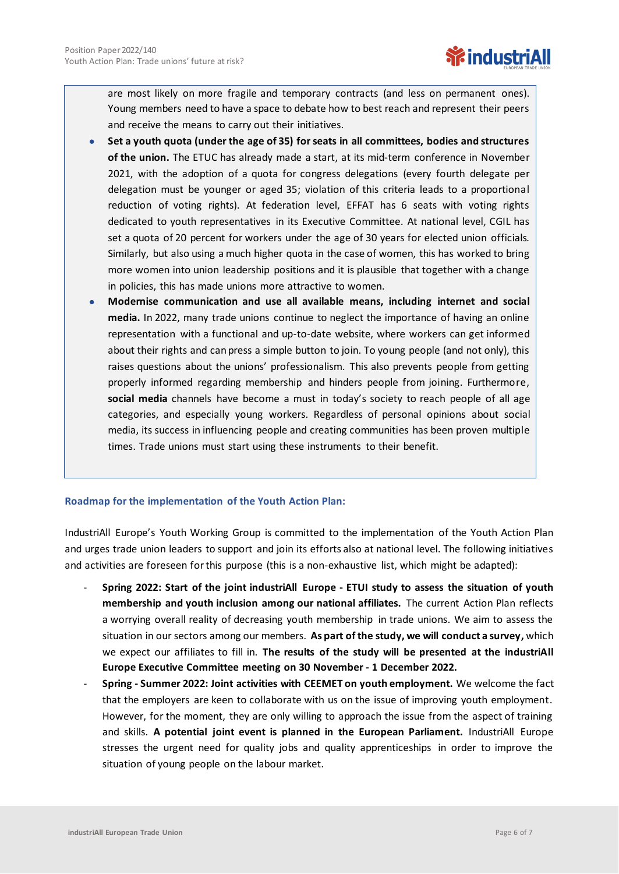are most likely on more fragile and temporary contracts (and less on permanent ones). Young members need to have a space to debate how to best reach and represent their peers and receive the means to carry out their initiatives.

- **Set a youth quota (under the age of 35) for seats in all committees, bodies and structures of the union.** The ETUC has already made a start, at its mid-term conference in November 2021, with the adoption of a quota for congress delegations (every fourth delegate per delegation must be younger or aged 35; violation of this criteria leads to a proportional reduction of voting rights). At federation level, EFFAT has 6 seats with voting rights dedicated to youth representatives in its Executive Committee. At national level, CGIL has set a quota of 20 percent for workers under the age of 30 years for elected union officials. Similarly, but also using a much higher quota in the case of women, this has worked to bring more women into union leadership positions and it is plausible that together with a change in policies, this has made unions more attractive to women.
- **Modernise communication and use all available means, including internet and social media.** In 2022, many trade unions continue to neglect the importance of having an online representation with a functional and up-to-date website, where workers can get informed about their rights and can press a simple button to join. To young people (and not only), this raises questions about the unions' professionalism. This also prevents people from getting properly informed regarding membership and hinders people from joining. Furthermore, **social media** channels have become a must in today's society to reach people of all age categories, and especially young workers. Regardless of personal opinions about social media, its success in influencing people and creating communities has been proven multiple times. Trade unions must start using these instruments to their benefit.

### **Roadmap for the implementation of the Youth Action Plan:**

IndustriAll Europe's Youth Working Group is committed to the implementation of the Youth Action Plan and urges trade union leaders to support and join its efforts also at national level. The following initiatives and activities are foreseen for this purpose (this is a non-exhaustive list, which might be adapted):

- **Spring 2022: Start of the joint industriAll Europe - ETUI study to assess the situation of youth membership and youth inclusion among our national affiliates.** The current Action Plan reflects a worrying overall reality of decreasing youth membership in trade unions. We aim to assess the situation in our sectors among our members. **As part of the study, we will conduct a survey,** which we expect our affiliates to fill in. **The results of the study will be presented at the industriAll Europe Executive Committee meeting on 30 November - 1 December 2022.**
- **Spring - Summer 2022: Joint activities with CEEMET on youth employment.** We welcome the fact that the employers are keen to collaborate with us on the issue of improving youth employment. However, for the moment, they are only willing to approach the issue from the aspect of training and skills. **A potential joint event is planned in the European Parliament.** IndustriAll Europe stresses the urgent need for quality jobs and quality apprenticeships in order to improve the situation of young people on the labour market.